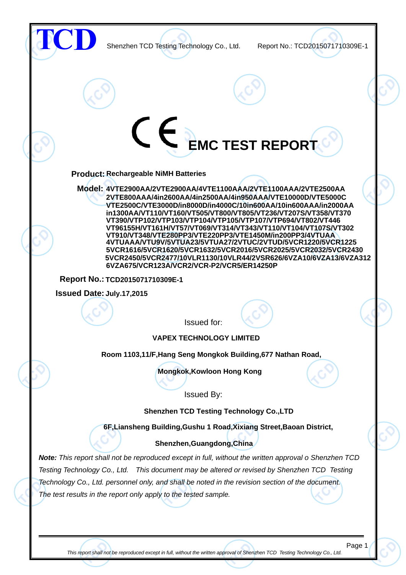

This report shall not be reproduced except in full, without the written approval of Shenzhen TCD Testing Technology Co., Ltd.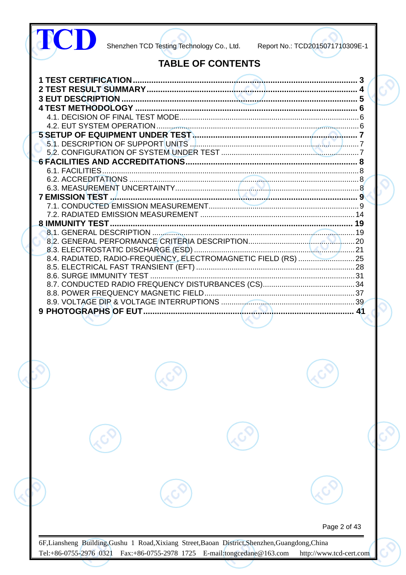|  | <b>TABLE OF CONTENTS</b> |              |  |
|--|--------------------------|--------------|--|
|  |                          |              |  |
|  |                          |              |  |
|  |                          |              |  |
|  |                          |              |  |
|  |                          |              |  |
|  |                          |              |  |
|  |                          |              |  |
|  |                          |              |  |
|  |                          |              |  |
|  |                          |              |  |
|  |                          |              |  |
|  |                          |              |  |
|  |                          |              |  |
|  |                          |              |  |
|  |                          |              |  |
|  |                          |              |  |
|  |                          |              |  |
|  |                          |              |  |
|  |                          |              |  |
|  |                          |              |  |
|  |                          |              |  |
|  |                          |              |  |
|  |                          |              |  |
|  |                          |              |  |
|  |                          |              |  |
|  |                          |              |  |
|  |                          |              |  |
|  |                          |              |  |
|  |                          |              |  |
|  |                          |              |  |
|  |                          |              |  |
|  |                          |              |  |
|  |                          |              |  |
|  |                          |              |  |
|  |                          |              |  |
|  |                          |              |  |
|  |                          |              |  |
|  |                          |              |  |
|  |                          |              |  |
|  |                          |              |  |
|  |                          |              |  |
|  |                          |              |  |
|  |                          |              |  |
|  |                          |              |  |
|  |                          |              |  |
|  |                          | Page 2 of 43 |  |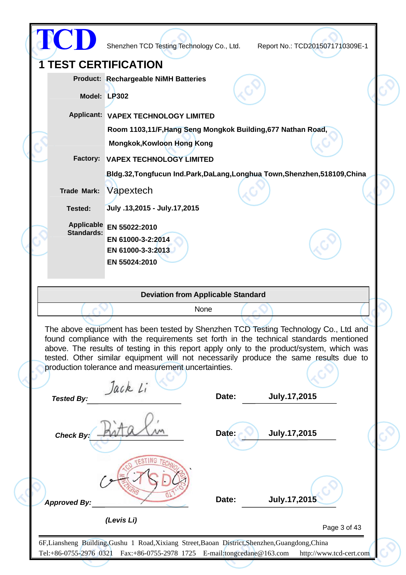|                             | Shenzhen TCD Testing Technology Co., Ltd.                                                                                                                                                                                                                                                                                                                                                                                          |       | Report No.: TCD2015071710309E-1 |              |
|-----------------------------|------------------------------------------------------------------------------------------------------------------------------------------------------------------------------------------------------------------------------------------------------------------------------------------------------------------------------------------------------------------------------------------------------------------------------------|-------|---------------------------------|--------------|
| <b>1 TEST CERTIFICATION</b> |                                                                                                                                                                                                                                                                                                                                                                                                                                    |       |                                 |              |
|                             | <b>Product: Rechargeable NiMH Batteries</b>                                                                                                                                                                                                                                                                                                                                                                                        |       |                                 |              |
|                             | Model: LP302                                                                                                                                                                                                                                                                                                                                                                                                                       |       |                                 |              |
|                             | Applicant: VAPEX TECHNOLOGY LIMITED                                                                                                                                                                                                                                                                                                                                                                                                |       |                                 |              |
|                             | Room 1103,11/F, Hang Seng Mongkok Building, 677 Nathan Road,                                                                                                                                                                                                                                                                                                                                                                       |       |                                 |              |
|                             | <b>Mongkok, Kowloon Hong Kong</b>                                                                                                                                                                                                                                                                                                                                                                                                  |       |                                 |              |
| Factory:                    | <b>VAPEX TECHNOLOGY LIMITED</b>                                                                                                                                                                                                                                                                                                                                                                                                    |       |                                 |              |
|                             | Bldg.32, Tongfucun Ind.Park, DaLang, Longhua Town, Shenzhen, 518109, China                                                                                                                                                                                                                                                                                                                                                         |       |                                 |              |
| <b>Trade Mark:</b>          | Vapextech                                                                                                                                                                                                                                                                                                                                                                                                                          |       |                                 |              |
| Tested:                     | July .13,2015 - July.17,2015                                                                                                                                                                                                                                                                                                                                                                                                       |       |                                 |              |
| Applicable                  | EN 55022:2010                                                                                                                                                                                                                                                                                                                                                                                                                      |       |                                 |              |
| <b>Standards:</b>           | EN 61000-3-2:2014                                                                                                                                                                                                                                                                                                                                                                                                                  |       |                                 |              |
|                             | EN 61000-3-3:2013                                                                                                                                                                                                                                                                                                                                                                                                                  |       |                                 |              |
|                             | EN 55024:2010                                                                                                                                                                                                                                                                                                                                                                                                                      |       |                                 |              |
|                             |                                                                                                                                                                                                                                                                                                                                                                                                                                    |       |                                 |              |
|                             |                                                                                                                                                                                                                                                                                                                                                                                                                                    |       |                                 |              |
|                             | <b>Deviation from Applicable Standard</b>                                                                                                                                                                                                                                                                                                                                                                                          |       |                                 |              |
|                             | None                                                                                                                                                                                                                                                                                                                                                                                                                               |       |                                 |              |
| <b>Tested By:</b>           | The above equipment has been tested by Shenzhen TCD Testing Technology Co., Ltd and<br>found compliance with the requirements set forth in the technical standards mentioned<br>above. The results of testing in this report apply only to the product/system, which was<br>tested. Other similar equipment will not necessarily produce the same results due to<br>production tolerance and measurement uncertainties.<br>Jack Li | Date: | July.17,2015                    |              |
| Check By:                   |                                                                                                                                                                                                                                                                                                                                                                                                                                    | Date: | July.17,2015                    |              |
| <b>Approved By:</b>         | (Levis Li)                                                                                                                                                                                                                                                                                                                                                                                                                         | Date: | July.17,2015                    | Page 3 of 43 |

◇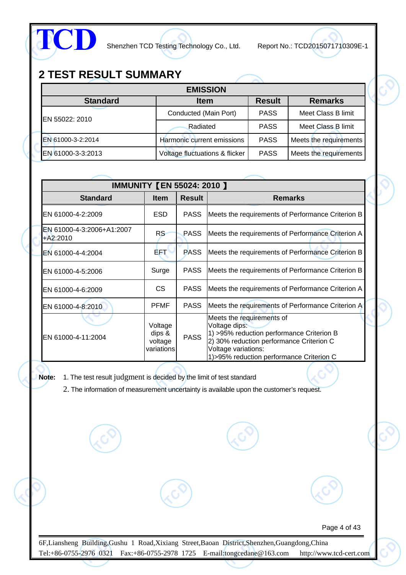

## **2 TEST RESULT SUMMARY**

| <b>EMISSION</b>   |                                |               |                        |  |  |  |  |  |  |
|-------------------|--------------------------------|---------------|------------------------|--|--|--|--|--|--|
| <b>Standard</b>   | <b>Item</b>                    | <b>Result</b> | <b>Remarks</b>         |  |  |  |  |  |  |
| EN 55022: 2010    | Conducted (Main Port)          | <b>PASS</b>   | Meet Class B limit     |  |  |  |  |  |  |
|                   | Radiated                       | <b>PASS</b>   | Meet Class B limit     |  |  |  |  |  |  |
| EN 61000-3-2:2014 | Harmonic current emissions     | <b>PASS</b>   | Meets the requirements |  |  |  |  |  |  |
| EN 61000-3-3:2013 | Voltage fluctuations & flicker | <b>PASS</b>   | Meets the requirements |  |  |  |  |  |  |

|                                         | <b>IMMUNITY [EN 55024: 2010 ]</b>          |               |                                                                                                                                                                                                          |
|-----------------------------------------|--------------------------------------------|---------------|----------------------------------------------------------------------------------------------------------------------------------------------------------------------------------------------------------|
| <b>Standard</b>                         | <b>Item</b>                                | <b>Result</b> | <b>Remarks</b>                                                                                                                                                                                           |
| EN 61000-4-2:2009                       | <b>ESD</b>                                 | <b>PASS</b>   | Meets the requirements of Performance Criterion B                                                                                                                                                        |
| EN 61000-4-3:2006+A1:2007<br>$+A2:2010$ | RS                                         | <b>PASS</b>   | Meets the requirements of Performance Criterion A                                                                                                                                                        |
| EN 61000-4-4:2004                       | B.FA                                       | <b>PASS</b>   | Meets the requirements of Performance Criterion B                                                                                                                                                        |
| EN 61000-4-5:2006                       | Surge                                      | <b>PASS</b>   | Meets the requirements of Performance Criterion B                                                                                                                                                        |
| EN 61000-4-6:2009                       | CS.                                        | <b>PASS</b>   | Meets the requirements of Performance Criterion A                                                                                                                                                        |
| EN 61000-4-8:2010                       | <b>PFMF</b>                                | <b>PASS</b>   | Meets the requirements of Performance Criterion A                                                                                                                                                        |
| EN 61000-4-11:2004                      | Voltage<br>dips &<br>voltage<br>variations | <b>PASS</b>   | Meets the requirements of<br>Voltage dips:<br>1) >95% reduction performance Criterion B<br>2) 30% reduction performance Criterion C<br>Voltage variations:<br>1) > 95% reduction performance Criterion C |

**Note:** 1. The test result judgment is decided by the limit of test standard

2. The information of measurement uncertainty is available upon the customer's request.

Page 4 of 43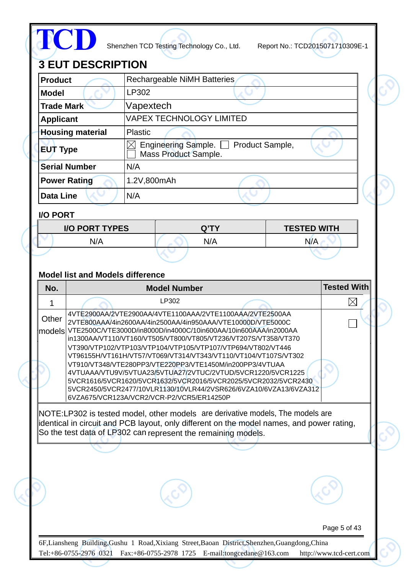| <b>Product</b>                                      |                                                                                     |             |                              | <b>Rechargeable NiMH Batteries</b>                                                                                                                                                                                                                                                                                                                                                                                                                                                                                                                                                                                                                                       |  |                    |                    |
|-----------------------------------------------------|-------------------------------------------------------------------------------------|-------------|------------------------------|--------------------------------------------------------------------------------------------------------------------------------------------------------------------------------------------------------------------------------------------------------------------------------------------------------------------------------------------------------------------------------------------------------------------------------------------------------------------------------------------------------------------------------------------------------------------------------------------------------------------------------------------------------------------------|--|--------------------|--------------------|
| <b>Model</b>                                        |                                                                                     | LP302       |                              |                                                                                                                                                                                                                                                                                                                                                                                                                                                                                                                                                                                                                                                                          |  |                    |                    |
|                                                     | Vapextech<br><b>Trade Mark</b>                                                      |             |                              |                                                                                                                                                                                                                                                                                                                                                                                                                                                                                                                                                                                                                                                                          |  |                    |                    |
| <b>VAPEX TECHNOLOGY LIMITED</b><br><b>Applicant</b> |                                                                                     |             |                              |                                                                                                                                                                                                                                                                                                                                                                                                                                                                                                                                                                                                                                                                          |  |                    |                    |
| <b>Housing material</b><br><b>Plastic</b>           |                                                                                     |             |                              |                                                                                                                                                                                                                                                                                                                                                                                                                                                                                                                                                                                                                                                                          |  |                    |                    |
|                                                     | Engineering Sample. Product Sample,<br>X<br><b>EUT Type</b><br>Mass Product Sample. |             |                              |                                                                                                                                                                                                                                                                                                                                                                                                                                                                                                                                                                                                                                                                          |  |                    |                    |
| <b>Serial Number</b>                                |                                                                                     | N/A         |                              |                                                                                                                                                                                                                                                                                                                                                                                                                                                                                                                                                                                                                                                                          |  |                    |                    |
| <b>Power Rating</b>                                 |                                                                                     | 1.2V,800mAh |                              |                                                                                                                                                                                                                                                                                                                                                                                                                                                                                                                                                                                                                                                                          |  |                    |                    |
| <b>Data Line</b>                                    |                                                                                     | N/A         |                              |                                                                                                                                                                                                                                                                                                                                                                                                                                                                                                                                                                                                                                                                          |  |                    |                    |
| <b>I/O PORT</b>                                     |                                                                                     |             |                              |                                                                                                                                                                                                                                                                                                                                                                                                                                                                                                                                                                                                                                                                          |  |                    |                    |
|                                                     | <b>I/O PORT TYPES</b>                                                               |             |                              | Q'TY                                                                                                                                                                                                                                                                                                                                                                                                                                                                                                                                                                                                                                                                     |  | <b>TESTED WITH</b> |                    |
|                                                     | N/A                                                                                 |             |                              | N/A                                                                                                                                                                                                                                                                                                                                                                                                                                                                                                                                                                                                                                                                      |  | N/A                |                    |
|                                                     |                                                                                     |             |                              |                                                                                                                                                                                                                                                                                                                                                                                                                                                                                                                                                                                                                                                                          |  |                    |                    |
|                                                     | <b>Model list and Models difference</b>                                             |             |                              |                                                                                                                                                                                                                                                                                                                                                                                                                                                                                                                                                                                                                                                                          |  |                    | <b>Tested With</b> |
| No.                                                 |                                                                                     |             | <b>Model Number</b><br>LP302 |                                                                                                                                                                                                                                                                                                                                                                                                                                                                                                                                                                                                                                                                          |  |                    | $\times$           |
| Other                                               | 6VZA675/VCR123A/VCR2/VCR-P2/VCR5/ER14250P                                           |             |                              | 4VTE2900AA/2VTE2900AA/4VTE1100AAA/2VTE1100AAA/2VTE2500AA<br>2VTE800AAA/4in2600AA/4in2500AA/4in950AAA/VTE10000D/VTE5000C<br>models VTE2500C/VTE3000D/in8000D/in4000C/10in600AA/10in600AAA/in2000AA<br>in1300AA/VT110/VT160/VT505/VT800/VT805/VT236/VT207S/VT358/VT370<br>VT390/VTP102/VTP103/VTP104/VTP105/VTP107/VTP694/VT802/VT446<br>VT96155H/VT161H/VT57/VT069/VT314/VT343/VT110/VT104/VT107S/VT302<br>VT910/VT348/VTE280PP3/VTE220PP3/VTE1450M/in200PP3/4VTUAA<br>4VTUAAA/VTU9V/5VTUA23/5VTUA27/2VTUC/2VTUD/5VCR1220/5VCR1225<br>5VCR1616/5VCR1620/5VCR1632/5VCR2016/5VCR2025/5VCR2032/5VCR2430<br>5VCR2450/5VCR2477/10VLR1130/10VLR44/2VSR626/6VZA10/6VZA13/6VZA312 |  |                    |                    |
|                                                     |                                                                                     |             |                              | NOTE:LP302 is tested model, other models are derivative models, The models are<br>lidentical in circuit and PCB layout, only different on the model names, and power rating,<br>So the test data of LP302 can represent the remaining models.                                                                                                                                                                                                                                                                                                                                                                                                                            |  |                    |                    |
|                                                     |                                                                                     |             |                              |                                                                                                                                                                                                                                                                                                                                                                                                                                                                                                                                                                                                                                                                          |  |                    |                    |
|                                                     |                                                                                     |             |                              |                                                                                                                                                                                                                                                                                                                                                                                                                                                                                                                                                                                                                                                                          |  |                    |                    |
|                                                     |                                                                                     |             |                              |                                                                                                                                                                                                                                                                                                                                                                                                                                                                                                                                                                                                                                                                          |  |                    |                    |

◇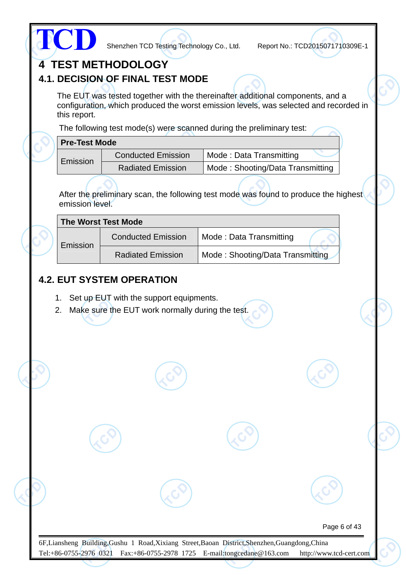| this report.         |                                                                                                                                                                |                                                                                      | configuration, which produced the worst emission levels, was selected and recorded in |
|----------------------|----------------------------------------------------------------------------------------------------------------------------------------------------------------|--------------------------------------------------------------------------------------|---------------------------------------------------------------------------------------|
|                      |                                                                                                                                                                | The following test mode(s) were scanned during the preliminary test:                 |                                                                                       |
| <b>Pre-Test Mode</b> |                                                                                                                                                                |                                                                                      |                                                                                       |
|                      | <b>Conducted Emission</b>                                                                                                                                      | Mode: Data Transmitting                                                              |                                                                                       |
| Emission             | <b>Radiated Emission</b>                                                                                                                                       | Mode: Shooting/Data Transmitting                                                     |                                                                                       |
| emission level.      |                                                                                                                                                                | After the preliminary scan, the following test mode was found to produce the highest |                                                                                       |
|                      | <b>The Worst Test Mode</b>                                                                                                                                     |                                                                                      |                                                                                       |
|                      | <b>Conducted Emission</b>                                                                                                                                      | Mode: Data Transmitting                                                              |                                                                                       |
| Emission             |                                                                                                                                                                |                                                                                      |                                                                                       |
| 2.                   | <b>Radiated Emission</b><br><b>4.2. EUT SYSTEM OPERATION</b><br>1. Set up EUT with the support equipments.<br>Make sure the EUT work normally during the test. | Mode: Shooting/Data Transmitting                                                     |                                                                                       |
|                      |                                                                                                                                                                |                                                                                      |                                                                                       |
|                      |                                                                                                                                                                |                                                                                      |                                                                                       |
|                      |                                                                                                                                                                |                                                                                      |                                                                                       |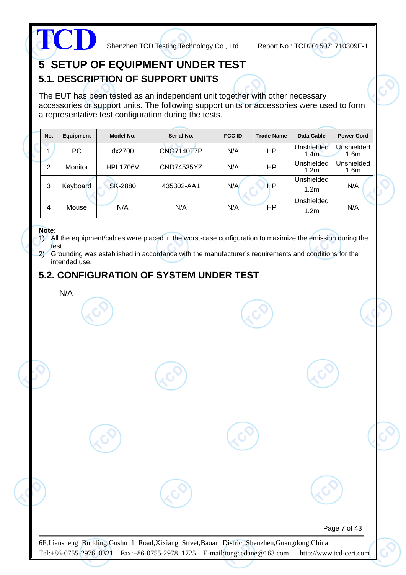

## **5 SETUP OF EQUIPMENT UNDER TEST 5.1. DESCRIPTION OF SUPPORT UNITS**

The EUT has been tested as an independent unit together with other necessary accessories or support units. The following support units or accessories were used to form a representative test configuration during the tests.

| No. | Equipment      | Model No.       | Serial No.        | <b>FCC ID</b> | <b>Trade Name</b> | Data Cable                     | <b>Power Cord</b>              |
|-----|----------------|-----------------|-------------------|---------------|-------------------|--------------------------------|--------------------------------|
|     | PC.            | dx2700          | <b>CNG7140T7P</b> | N/A           | ΗP                | Unshielded<br>1.4 <sub>m</sub> | Unshielded<br>1.6 <sub>m</sub> |
| 2   | <b>Monitor</b> | <b>HPL1706V</b> | CND74535YZ        | N/A           | ΗP                | Unshielded<br>1.2m             | Unshielded<br>1.6 <sub>m</sub> |
| 3   | Keyboard       | <b>SK-2880</b>  | 435302-AA1        | N/A           | HP                | Unshielded<br>1.2 <sub>m</sub> | N/A                            |
| 4   | Mouse          | N/A             | N/A               | N/A           | ΗP                | Unshielded<br>1.2 <sub>m</sub> | N/A                            |

#### **Note:**

1) All the equipment/cables were placed in the worst-case configuration to maximize the emission during the test.

2) Grounding was established in accordance with the manufacturer's requirements and conditions for the intended use.

### **5.2. CONFIGURATION OF SYSTEM UNDER TEST**

N/A

Page 7 of 43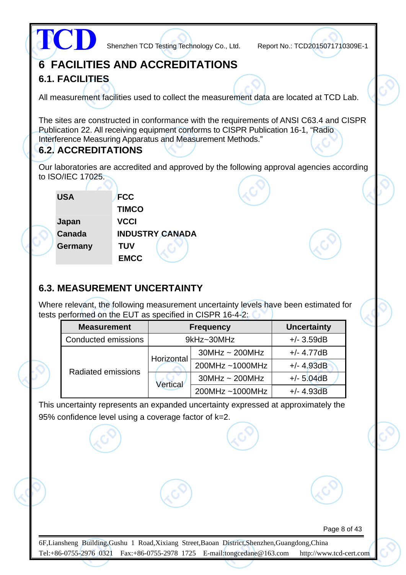|                        |                            |              |                                     | Shenzhen TCD Testing Technology Co., Ltd.                                                                                                                                                                                                  | Report No.: TCD2015071710309E-1 |  |
|------------------------|----------------------------|--------------|-------------------------------------|--------------------------------------------------------------------------------------------------------------------------------------------------------------------------------------------------------------------------------------------|---------------------------------|--|
|                        |                            |              |                                     | <b>6 FACILITIES AND ACCREDITATIONS</b>                                                                                                                                                                                                     |                                 |  |
| <b>6.1. FACILITIES</b> |                            |              |                                     |                                                                                                                                                                                                                                            |                                 |  |
|                        |                            |              |                                     | All measurement facilities used to collect the measurement data are located at TCD Lab.                                                                                                                                                    |                                 |  |
|                        | <b>6.2. ACCREDITATIONS</b> |              |                                     | The sites are constructed in conformance with the requirements of ANSI C63.4 and CISPR<br>Publication 22. All receiving equipment conforms to CISPR Publication 16-1, "Radio<br>Interference Measuring Apparatus and Measurement Methods." |                                 |  |
|                        |                            |              |                                     | Our laboratories are accredited and approved by the following approval agencies according                                                                                                                                                  |                                 |  |
| to ISO/IEC 17025.      |                            |              |                                     |                                                                                                                                                                                                                                            |                                 |  |
| <b>USA</b>             |                            | <b>FCC</b>   |                                     |                                                                                                                                                                                                                                            |                                 |  |
|                        |                            | <b>TIMCO</b> |                                     |                                                                                                                                                                                                                                            |                                 |  |
| Japan                  |                            | <b>VCCI</b>  |                                     |                                                                                                                                                                                                                                            |                                 |  |
| Canada                 |                            |              | <b>INDUSTRY CANADA</b>              |                                                                                                                                                                                                                                            |                                 |  |
| Germany                |                            | <b>TUV</b>   |                                     |                                                                                                                                                                                                                                            |                                 |  |
|                        |                            | <b>EMCC</b>  |                                     |                                                                                                                                                                                                                                            |                                 |  |
|                        |                            |              | <b>6.3. MEASUREMENT UNCERTAINTY</b> | Where relevant, the following measurement uncertainty levels have been estimated for<br>tests performed on the EUT as specified in CISPR 16-4-2:                                                                                           |                                 |  |
|                        | <b>Measurement</b>         |              |                                     | <b>Frequency</b>                                                                                                                                                                                                                           | <b>Uncertainty</b>              |  |
|                        | Conducted emissions        |              |                                     | 9kHz~30MHz                                                                                                                                                                                                                                 | $+/- 3.59dB$                    |  |
|                        |                            |              |                                     | $30MHz \sim 200MHz$                                                                                                                                                                                                                        | $+/- 4.77dB$                    |  |
|                        |                            |              | Horizontal                          | 200MHz~1000MHz                                                                                                                                                                                                                             | $+/- 4.93dB$                    |  |
|                        | <b>Radiated emissions</b>  |              |                                     | $30MHz \sim 200MHz$                                                                                                                                                                                                                        | $+/- 5.04dB$                    |  |
|                        |                            |              | <b>Vertical</b>                     | 200MHz~1000MHz                                                                                                                                                                                                                             | $+/- 4.93dB$                    |  |
|                        |                            |              |                                     | This uncertainty represents an expanded uncertainty expressed at approximately the                                                                                                                                                         |                                 |  |

95% confidence level using a coverage factor of k=2.

Page 8 of 43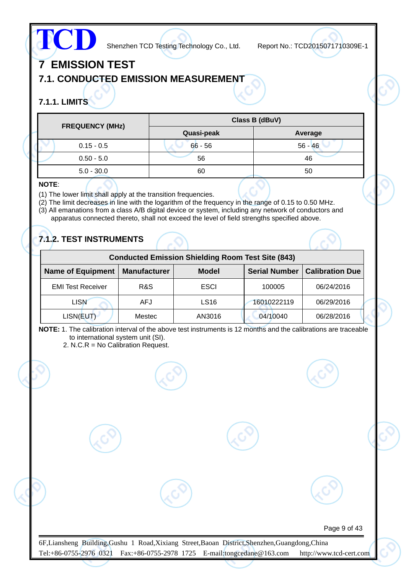# **TCD**

Shenzhen TCD Testing Technology Co., Ltd. Report No.: TCD2015071710309E-1

Page 9 of 43

## **7 EMISSION TEST**

## **7.1. CONDUCTED EMISSION MEASUREMENT**

## **7.1.1. LIMITS**

| <b>FREQUENCY (MHz)</b> |            | Class B (dBuV) |  |  |
|------------------------|------------|----------------|--|--|
|                        | Quasi-peak | Average        |  |  |
| $0.15 - 0.5$           | $66 - 56$  | $56 - 46$      |  |  |
| $0.50 - 5.0$           | 56         | 46             |  |  |
| $5.0 - 30.0$           | 60         | 50             |  |  |

#### **NOTE**:

- (1) The lower limit shall apply at the transition frequencies.
- (2) The limit decreases in line with the logarithm of the frequency in the range of 0.15 to 0.50 MHz.
- (3) All emanations from a class A/B digital device or system, including any network of conductors and apparatus connected thereto, shall not exceed the level of field strengths specified above.

## **7.1.2. TEST INSTRUMENTS**

|                          | <b>Conducted Emission Shielding Room Test Site (843)</b> |                  |                      |                        |  |  |  |  |  |  |  |  |
|--------------------------|----------------------------------------------------------|------------------|----------------------|------------------------|--|--|--|--|--|--|--|--|
| <b>Name of Equipment</b> | <b>Manufacturer</b>                                      | <b>Model</b>     | <b>Serial Number</b> | <b>Calibration Due</b> |  |  |  |  |  |  |  |  |
| <b>EMI Test Receiver</b> | R&S                                                      | <b>ESCI</b>      | 100005               | 06/24/2016             |  |  |  |  |  |  |  |  |
| <b>LISN</b>              | <b>AFJ</b>                                               | LS <sub>16</sub> | 16010222119          | 06/29/2016             |  |  |  |  |  |  |  |  |
| LISN(EUT)                | Mestec                                                   | AN3016           | 04/10040             | 06/28/2016             |  |  |  |  |  |  |  |  |

**NOTE:** 1. The calibration interval of the above test instruments is 12 months and the calibrations are traceable to international system unit (SI).

2. N.C.R = No Calibration Request.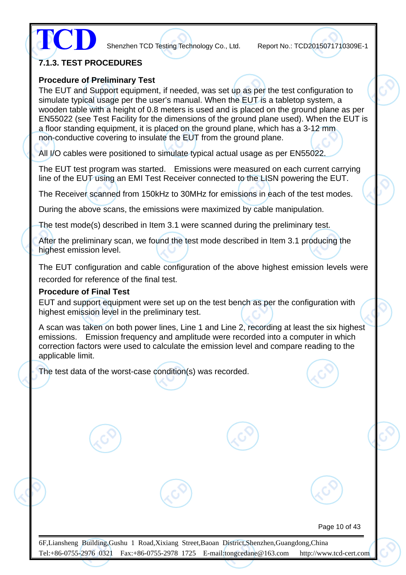**TCD**

Shenzhen TCD Testing Technology Co., Ltd. Report No.: TCD2015071710309E-1

#### **7.1.3. TEST PROCEDURES**

#### **Procedure of Preliminary Test**

The EUT and Support equipment, if needed, was set up as per the test configuration to simulate typical usage per the user's manual. When the EUT is a tabletop system, a wooden table with a height of 0.8 meters is used and is placed on the ground plane as per EN55022 (see Test Facility for the dimensions of the ground plane used). When the EUT is a floor standing equipment, it is placed on the ground plane, which has a 3-12 mm non-conductive covering to insulate the EUT from the ground plane.

All I/O cables were positioned to simulate typical actual usage as per EN55022.

The EUT test program was started. Emissions were measured on each current carrying line of the EUT using an EMI Test Receiver connected to the LISN powering the EUT.

The Receiver scanned from 150kHz to 30MHz for emissions in each of the test modes.

During the above scans, the emissions were maximized by cable manipulation.

The test mode(s) described in Item 3.1 were scanned during the preliminary test.

After the preliminary scan, we found the test mode described in Item 3.1 producing the highest emission level.

The EUT configuration and cable configuration of the above highest emission levels were recorded for reference of the final test.

#### **Procedure of Final Test**

EUT and support equipment were set up on the test bench as per the configuration with highest emission level in the preliminary test.

A scan was taken on both power lines, Line 1 and Line 2, recording at least the six highest emissions. Emission frequency and amplitude were recorded into a computer in which correction factors were used to calculate the emission level and compare reading to the applicable limit.

The test data of the worst-case condition(s) was recorded.

Page 10 of 43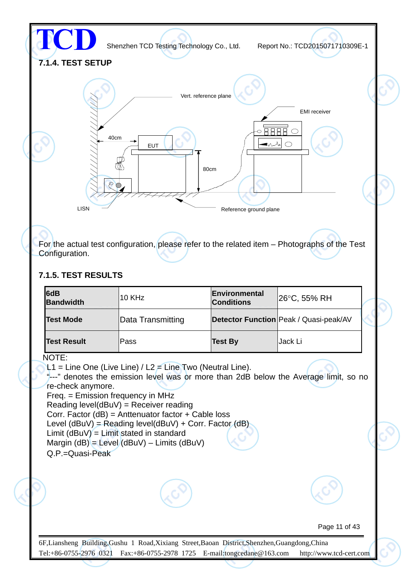

Tel:+86-0755-2976 0321 Fax:+86-0755-2978 1725 E-mail:tongcedane@163.com http://www.tcd-cert.com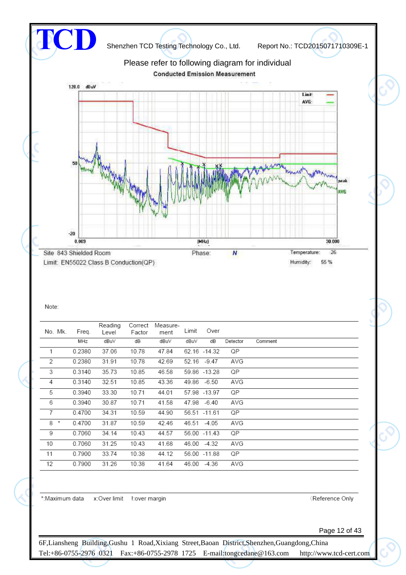

#### Note:

| No. Mk.        | Freq.  | Reading<br>Level | Correct<br>Factor | Measure-<br>ment | Limit | Over          |          |         |
|----------------|--------|------------------|-------------------|------------------|-------|---------------|----------|---------|
|                | MHz    | dBuV             | dB                | dBuV             | dBuV  | dВ            | Detector | Comment |
| $\mathbf{1}$   | 0.2380 | 37.06            | 10.78             | 47.84            |       | 62.16 -14.32  | QP       |         |
| $\overline{2}$ | 0.2380 | 31.91            | 10.78             | 42.69            | 52.16 | $-9.47$       | AVG      |         |
| 3              | 0.3140 | 35.73            | 10.85             | 46.58            |       | 59.86 - 13.28 | QP       |         |
| 4              | 0.3140 | 32.51            | 10.85             | 43.36            | 49.86 | $-6.50$       | AVG      |         |
| 5              | 0.3940 | 33.30            | 10.71             | 44.01            |       | 57.98 - 13.97 | QP       |         |
| 6              | 0.3940 | 30.87            | 10.71             | 41.58            | 47.98 | $-6.40$       | AVG      |         |
| $\overline{7}$ | 0.4700 | 34.31            | 10.59             | 44.90            |       | 56.51 -11.61  | QP       |         |
| $8 *$          | 0.4700 | 31.87            | 10.59             | 42.46            | 46.51 | -4.05         | AVG      |         |
| 9              | 0.7060 | 34.14            | 10.43             | 44.57            |       | 56.00 -11.43  | QP       |         |
| 10             | 0.7060 | 31.25            | 10.43             | 41.68            | 46.00 | -4.32         | AVG      |         |
| 11             | 0.7900 | 33.74            | 10.38             | 44.12            |       | 56.00 -11.88  | QP       |         |
| 12             | 0.7900 | 31.26            | 10.38             | 41.64            | 46.00 | $-4.36$       | AVG      |         |

\*: Maximum data x: Over limit l: over margin

Reference Only

Page 12 of 43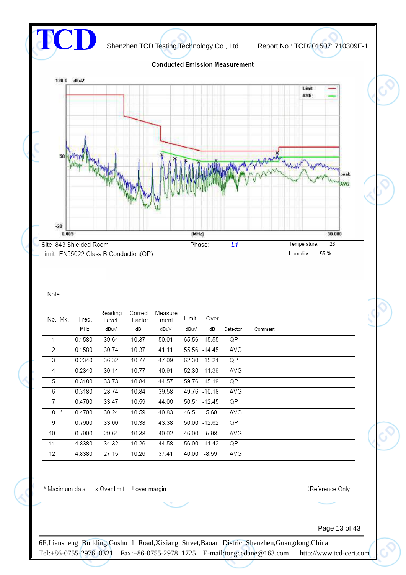

#### Note:

| No. Mk.        | Freq.  | Reading<br>Level | Correct<br>Factor | Measure-<br>ment | Limit | Over          |          |         |
|----------------|--------|------------------|-------------------|------------------|-------|---------------|----------|---------|
|                | MHz    | dBuV             | dB                | dBu∨             | dBuV  | dB            | Detector | Comment |
| 1              | 0.1580 | 39.64            | 10.37             | 50.01            |       | 65.56 -15.55  | QP       |         |
| 2              | 0.1580 | 30.74            | 10.37             | 41.11            |       | 55.56 -14.45  | AVG      |         |
| 3              | 0.2340 | 36.32            | 10.77             | 47.09            |       | 62.30 -15.21  | QP       |         |
| 4              | 0.2340 | 30.14            | 10.77             | 40.91            |       | 52.30 -11.39  | AVG      |         |
| 5              | 0.3180 | 33.73            | 10.84             | 44.57            |       | 59.76 -15.19  | QP       |         |
| 6              | 0.3180 | 28.74            | 10.84             | 39.58            |       | 49.76 -10.18  | AVG      |         |
| $\overline{7}$ | 0.4700 | 33.47            | 10.59             | 44.06            |       | 56.51 - 12.45 | QP       |         |
| 8 *            | 0.4700 | 30.24            | 10.59             | 40.83            |       | 46.51 -5.68   | AVG      |         |
| 9              | 0.7900 | 33.00            | 10.38             | 43.38            |       | 56.00 -12.62  | QP       |         |
| 10             | 0.7900 | 29.64            | 10.38             | 40.02            |       | 46.00 -5.98   | AVG      |         |
| 11             | 4.8380 | 34.32            | 10.26             | 44.58            |       | 56.00 -11.42  | QP       |         |
| 12             | 4.8380 | 27.15            | 10.26             | 37.41            | 46.00 | $-8.59$       | AVG      |         |

\*: Maximum data x: Over limit !: over margin

Reference Only

Page 13 of 43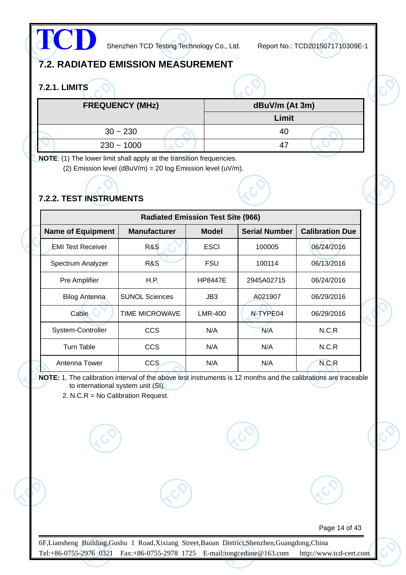

## **7.2. RADIATED EMISSION MEASUREMENT**

### **7.2.1. LIMITS**

| <b>FREQUENCY (MHz)</b> | dBuV/m (At 3m) |
|------------------------|----------------|
|                        | Limit          |
| $30 - 230$             | 40             |
| $230 - 1000$           | 47             |

**NOTE**: (1) The lower limit shall apply at the transition frequencies.

(2) Emission level (dBuV/m) = 20 log Emission level (uV/m).

## **7.2.2. TEST INSTRUMENTS**

| <b>Radiated Emission Test Site (966)</b> |                       |                |                      |                        |  |  |  |
|------------------------------------------|-----------------------|----------------|----------------------|------------------------|--|--|--|
| <b>Name of Equipment</b>                 | <b>Manufacturer</b>   | <b>Model</b>   | <b>Serial Number</b> | <b>Calibration Due</b> |  |  |  |
| <b>EMI Test Receiver</b>                 | <b>R&amp;S</b>        | <b>ESCI</b>    | 100005               | 06/24/2016             |  |  |  |
| Spectrum Analyzer                        | R&S                   | FSU            | 100114               | 06/13/2016             |  |  |  |
| Pre Amplifier                            | H.P.                  | <b>HP8447E</b> | 2945A02715           | 06/24/2016             |  |  |  |
| <b>Bilog Antenna</b>                     | <b>SUNOL Sciences</b> | JB3            | A021907              | 06/29/2016             |  |  |  |
| Cable                                    | <b>TIME MICROWAVE</b> | <b>LMR-400</b> | N-TYPE04             | 06/29/2016             |  |  |  |
| System-Controller                        | CCS                   | N/A            | N/A                  | N.C.R                  |  |  |  |
| Turn Table                               | <b>CCS</b>            | N/A            | N/A                  | N.C.R                  |  |  |  |
| Antenna Tower                            | <b>CCS</b>            | N/A            | N/A                  | N.C.R                  |  |  |  |

**NOTE:** 1. The calibration interval of the above test instruments is 12 months and the calibrations are traceable to international system unit (SI).

2. N.C.R = No Calibration Request.

Page 14 of 43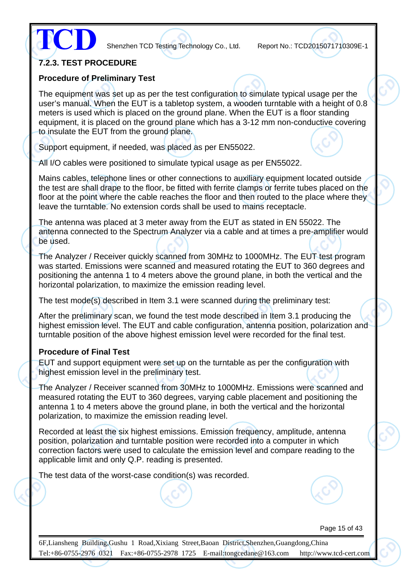

#### **7.2.3. TEST PROCEDURE**

#### **Procedure of Preliminary Test**

The equipment was set up as per the test configuration to simulate typical usage per the user's manual. When the EUT is a tabletop system, a wooden turntable with a height of 0.8 meters is used which is placed on the ground plane. When the EUT is a floor standing equipment, it is placed on the ground plane which has a 3-12 mm non-conductive covering to insulate the EUT from the ground plane.

Support equipment, if needed, was placed as per EN55022.

All I/O cables were positioned to simulate typical usage as per EN55022.

Mains cables, telephone lines or other connections to auxiliary equipment located outside the test are shall drape to the floor, be fitted with ferrite clamps or ferrite tubes placed on the floor at the point where the cable reaches the floor and then routed to the place where they leave the turntable. No extension cords shall be used to mains receptacle.

The antenna was placed at 3 meter away from the EUT as stated in EN 55022. The antenna connected to the Spectrum Analyzer via a cable and at times a pre-amplifier would be used.

The Analyzer / Receiver quickly scanned from 30MHz to 1000MHz. The EUT test program was started. Emissions were scanned and measured rotating the EUT to 360 degrees and positioning the antenna 1 to 4 meters above the ground plane, in both the vertical and the horizontal polarization, to maximize the emission reading level.

The test mode(s) described in Item 3.1 were scanned during the preliminary test:

After the preliminary scan, we found the test mode described in Item 3.1 producing the highest emission level. The EUT and cable configuration, antenna position, polarization and turntable position of the above highest emission level were recorded for the final test.

#### **Procedure of Final Test**

EUT and support equipment were set up on the turntable as per the configuration with highest emission level in the preliminary test.

The Analyzer / Receiver scanned from 30MHz to 1000MHz. Emissions were scanned and measured rotating the EUT to 360 degrees, varying cable placement and positioning the antenna 1 to 4 meters above the ground plane, in both the vertical and the horizontal polarization, to maximize the emission reading level.

Recorded at least the six highest emissions. Emission frequency, amplitude, antenna position, polarization and turntable position were recorded into a computer in which correction factors were used to calculate the emission level and compare reading to the applicable limit and only Q.P. reading is presented.

The test data of the worst-case condition(s) was recorded.

Page 15 of 43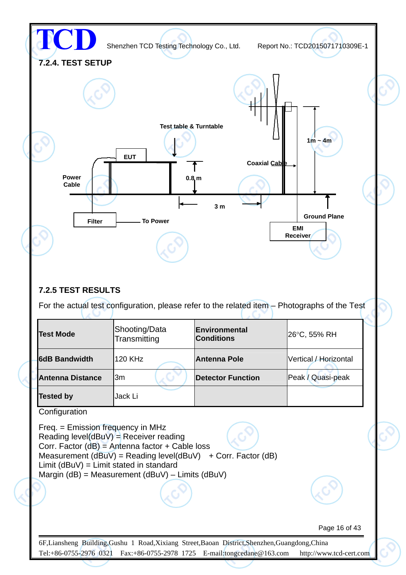

#### **7.2.5 TEST RESULTS**

For the actual test configuration, please refer to the related item – Photographs of the Test

| <b>Test Mode</b>        | Shooting/Data<br>Transmitting | <b>IEnvironmental</b><br><b>Conditions</b> | 26°C, 55% RH          |
|-------------------------|-------------------------------|--------------------------------------------|-----------------------|
| <b>6dB Bandwidth</b>    | <b>120 KHz</b>                | <b>Antenna Pole</b>                        | Vertical / Horizontal |
| <b>Antenna Distance</b> | l3m                           | <b>Detector Function</b>                   | Peak / Quasi-peak     |
| <b>Tested by</b>        | Jack Li                       |                                            |                       |

**Configuration** 

Freq. = Emission frequency in MHz Reading level( $dBuV$ ) = Receiver reading Corr. Factor (dB) = Antenna factor + Cable loss Measurement  $(dBuV) = Reading level(dBuV) + Corr. Factor (dB)$ Limit (dBuV) = Limit stated in standard Margin (dB) = Measurement (dBuV) – Limits (dBuV)

Page 16 of 43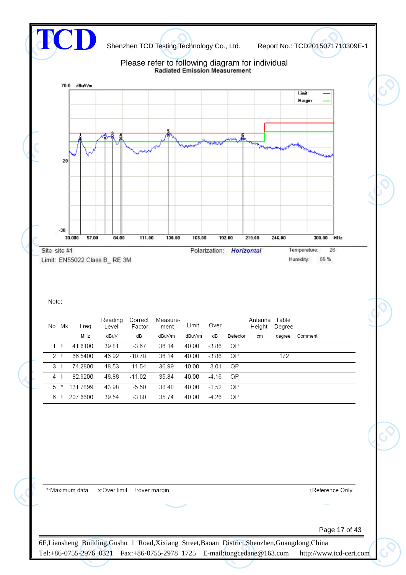

Page 17 of 43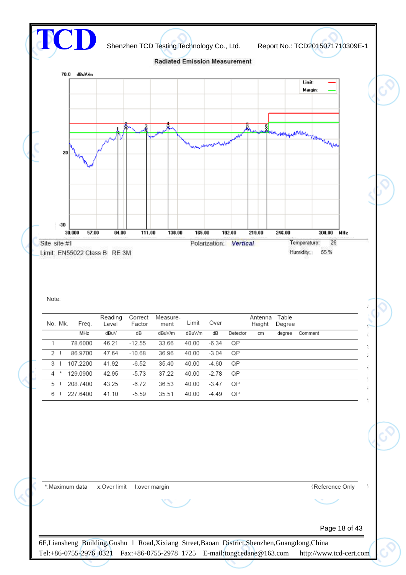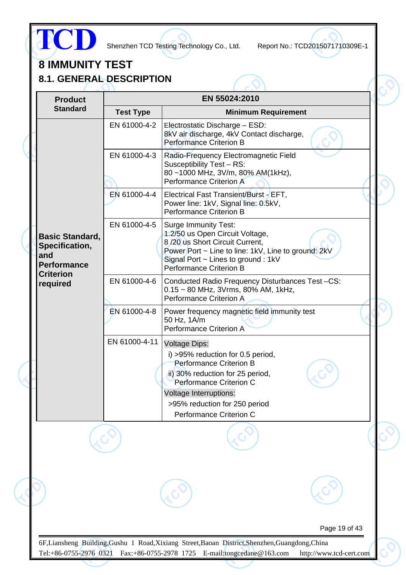

# **8 IMMUNITY TEST**

**8.1. GENERAL DESCRIPTION**

| <b>Test Type</b><br>EN 61000-4-2 | EN 55024:2010<br><b>Minimum Requirement</b><br>Electrostatic Discharge - ESD:                                                                                                                                                         |                                                   |
|----------------------------------|---------------------------------------------------------------------------------------------------------------------------------------------------------------------------------------------------------------------------------------|---------------------------------------------------|
|                                  |                                                                                                                                                                                                                                       |                                                   |
|                                  |                                                                                                                                                                                                                                       |                                                   |
|                                  | 8kV air discharge, 4kV Contact discharge,<br><b>Performance Criterion B</b>                                                                                                                                                           |                                                   |
| EN 61000-4-3                     | Radio-Frequency Electromagnetic Field<br>Susceptibility Test - RS:<br>80~1000 MHz, 3V/m, 80% AM(1kHz),<br><b>Performance Criterion A</b>                                                                                              |                                                   |
| EN 61000-4-4                     | Electrical Fast Transient/Burst - EFT,<br>Power line: 1kV, Signal line: 0.5kV,<br><b>Performance Criterion B</b>                                                                                                                      |                                                   |
| EN 61000-4-5                     | <b>Surge Immunity Test:</b><br>1.2/50 us Open Circuit Voltage,<br>8/20 us Short Circuit Current,<br>Power Port ~ Line to line: 1kV, Line to ground: 2kV<br>Signal Port $\sim$ Lines to ground : 1kV<br><b>Performance Criterion B</b> |                                                   |
| EN 61000-4-6                     | Conducted Radio Frequency Disturbances Test-CS:<br>$0.15 \sim 80$ MHz, 3Vrms, 80% AM, 1kHz,<br><b>Performance Criterion A</b>                                                                                                         |                                                   |
| EN 61000-4-8                     | Power frequency magnetic field immunity test<br>50 Hz, 1A/m<br><b>Performance Criterion A</b>                                                                                                                                         |                                                   |
| EN 61000-4-11                    | <b>Voltage Dips:</b><br>i) >95% reduction for 0.5 period,<br><b>Performance Criterion B</b><br>ii) 30% reduction for 25 period,                                                                                                       |                                                   |
|                                  |                                                                                                                                                                                                                                       |                                                   |
|                                  | >95% reduction for 250 period                                                                                                                                                                                                         |                                                   |
|                                  | Performance Criterion C                                                                                                                                                                                                               |                                                   |
|                                  |                                                                                                                                                                                                                                       |                                                   |
|                                  |                                                                                                                                                                                                                                       |                                                   |
|                                  | Page 19 of 43                                                                                                                                                                                                                         |                                                   |
|                                  |                                                                                                                                                                                                                                       | Performance Criterion C<br>Voltage Interruptions: |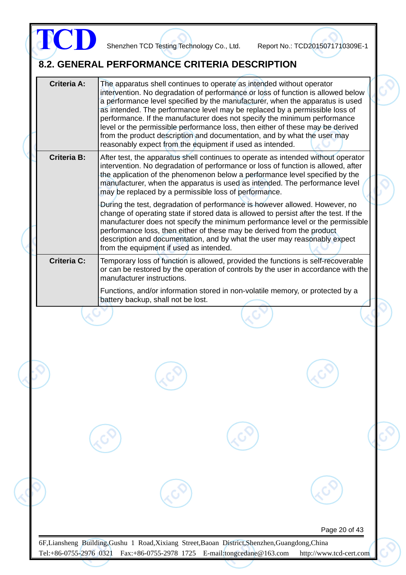|                    |                                         | The apparatus shell continues to operate as intended without operator<br>intervention. No degradation of performance or loss of function is allowed below<br>a performance level specified by the manufacturer, when the apparatus is used<br>as intended. The performance level may be replaced by a permissible loss of<br>performance. If the manufacturer does not specify the minimum performance<br>level or the permissible performance loss, then either of these may be derived<br>from the product description and documentation, and by what the user may<br>reasonably expect from the equipment if used as intended. |  |
|--------------------|-----------------------------------------|-----------------------------------------------------------------------------------------------------------------------------------------------------------------------------------------------------------------------------------------------------------------------------------------------------------------------------------------------------------------------------------------------------------------------------------------------------------------------------------------------------------------------------------------------------------------------------------------------------------------------------------|--|
| <b>Criteria B:</b> |                                         | After test, the apparatus shell continues to operate as intended without operator<br>intervention. No degradation of performance or loss of function is allowed, after<br>the application of the phenomenon below a performance level specified by the<br>manufacturer, when the apparatus is used as intended. The performance level<br>may be replaced by a permissible loss of performance.                                                                                                                                                                                                                                    |  |
|                    | from the equipment if used as intended. | During the test, degradation of performance is however allowed. However, no<br>change of operating state if stored data is allowed to persist after the test. If the<br>manufacturer does not specify the minimum performance level or the permissible<br>performance loss, then either of these may be derived from the product<br>description and documentation, and by what the user may reasonably expect                                                                                                                                                                                                                     |  |
| <b>Criteria C:</b> | manufacturer instructions.              | Temporary loss of function is allowed, provided the functions is self-recoverable<br>or can be restored by the operation of controls by the user in accordance with the                                                                                                                                                                                                                                                                                                                                                                                                                                                           |  |
|                    | battery backup, shall not be lost.      | Functions, and/or information stored in non-volatile memory, or protected by a                                                                                                                                                                                                                                                                                                                                                                                                                                                                                                                                                    |  |
|                    |                                         |                                                                                                                                                                                                                                                                                                                                                                                                                                                                                                                                                                                                                                   |  |
|                    |                                         |                                                                                                                                                                                                                                                                                                                                                                                                                                                                                                                                                                                                                                   |  |
|                    |                                         |                                                                                                                                                                                                                                                                                                                                                                                                                                                                                                                                                                                                                                   |  |
|                    |                                         |                                                                                                                                                                                                                                                                                                                                                                                                                                                                                                                                                                                                                                   |  |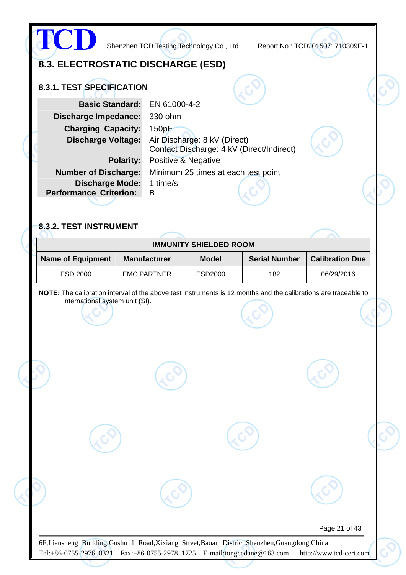|                                                                                                                                                                                                                                               | 8.3. ELECTROSTATIC DISCHARGE (ESD)                                    |                                                                                                                                         |                      |                        |
|-----------------------------------------------------------------------------------------------------------------------------------------------------------------------------------------------------------------------------------------------|-----------------------------------------------------------------------|-----------------------------------------------------------------------------------------------------------------------------------------|----------------------|------------------------|
| <b>8.3.1. TEST SPECIFICATION</b><br><b>Basic Standard:</b><br><b>Discharge Impedance:</b><br><b>Charging Capacity:</b><br><b>Discharge Voltage:</b><br><b>Number of Discharge:</b><br><b>Discharge Mode:</b><br><b>Performance Criterion:</b> | EN 61000-4-2<br>330 ohm<br>150pF<br><b>Polarity:</b><br>1 time/s<br>B | Air Discharge: 8 kV (Direct)<br>Contact Discharge: 4 kV (Direct/Indirect)<br>Positive & Negative<br>Minimum 25 times at each test point |                      |                        |
| 8.3.2. TEST INSTRUMENT                                                                                                                                                                                                                        |                                                                       | <b>IMMUNITY SHIELDED ROOM</b>                                                                                                           |                      |                        |
| <b>Name of Equipment</b>                                                                                                                                                                                                                      | <b>Manufacturer</b>                                                   | <b>Model</b>                                                                                                                            | <b>Serial Number</b> | <b>Calibration Due</b> |
| ESD 2000                                                                                                                                                                                                                                      | <b>EMC PARTNER</b>                                                    | ESD2000                                                                                                                                 | 182                  | 06/29/2016             |
| international system unit (SI).                                                                                                                                                                                                               |                                                                       |                                                                                                                                         |                      |                        |
|                                                                                                                                                                                                                                               |                                                                       |                                                                                                                                         |                      |                        |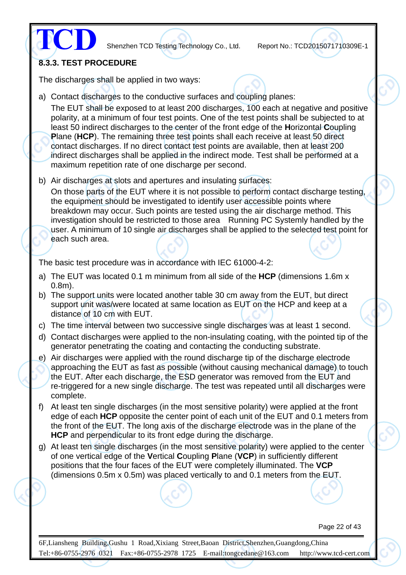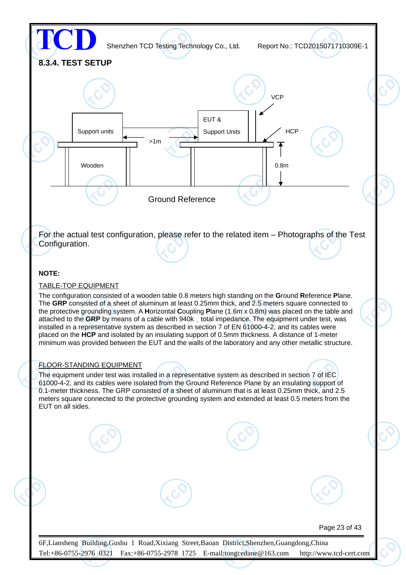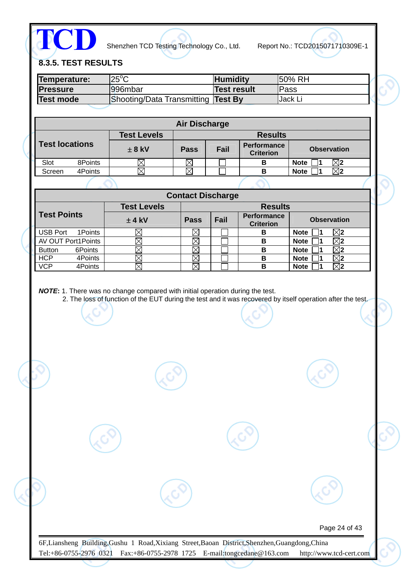

# **8.3.5. TEST RESULTS**

| Temperature:<br><b>Pressure</b>                                               | $25^{\circ}$ C<br>996mbar                                                                                   |                            | <b>Humidity</b><br><b>Test result</b> |                                        | 50% RH<br>Pass             |                |                                         |  |
|-------------------------------------------------------------------------------|-------------------------------------------------------------------------------------------------------------|----------------------------|---------------------------------------|----------------------------------------|----------------------------|----------------|-----------------------------------------|--|
| <b>Test mode</b>                                                              |                                                                                                             |                            |                                       |                                        | Jack Li                    |                |                                         |  |
|                                                                               | Shooting/Data Transmitting                                                                                  |                            | <b>Test By</b>                        |                                        |                            |                |                                         |  |
|                                                                               |                                                                                                             | <b>Air Discharge</b>       |                                       |                                        |                            |                |                                         |  |
|                                                                               | <b>Test Levels</b>                                                                                          |                            |                                       | <b>Results</b>                         |                            |                |                                         |  |
| <b>Test locations</b>                                                         | $± 8$ kV                                                                                                    | <b>Pass</b>                | Fail                                  | <b>Performance</b><br><b>Criterion</b> |                            |                | <b>Observation</b>                      |  |
| 8Points<br>Slot                                                               | $\boxtimes$                                                                                                 | $\boxtimes$                |                                       | B                                      | <b>Note</b>                | 1              | $\boxtimes$                             |  |
| 4Points<br>Screen                                                             | $\boxtimes$                                                                                                 | $\boxtimes$                |                                       | B                                      | <b>Note</b>                | 1              | $\boxtimes$                             |  |
|                                                                               |                                                                                                             |                            |                                       |                                        |                            |                |                                         |  |
|                                                                               | <b>Test Levels</b>                                                                                          | <b>Contact Discharge</b>   |                                       | <b>Results</b>                         |                            |                |                                         |  |
| <b>Test Points</b>                                                            | $±$ 4 kV                                                                                                    | <b>Pass</b>                | Fail                                  | <b>Performance</b><br><b>Criterion</b> |                            |                | <b>Observation</b>                      |  |
| <b>USB Port</b><br>1Points                                                    | $\boxtimes$                                                                                                 | $\boxtimes$                |                                       | B                                      | <b>Note</b>                | 1              | $\boxtimes$ 2                           |  |
| AV OUT Port1Points                                                            | $\boxtimes$                                                                                                 | $\boxtimes$                |                                       | B                                      | <b>Note</b>                | $\blacksquare$ | $\overline{\boxtimes}$ 2                |  |
| <b>Button</b><br>6Points                                                      | $\boxtimes$                                                                                                 | $\boxtimes$                |                                       | $\overline{\mathbf{B}}$                | <b>Note</b>                | 1              | $\boxtimes$                             |  |
| <b>HCP</b><br>4Points<br><b>VCP</b><br>4Points                                | $\boxtimes$<br>$\boxtimes$                                                                                  | $\boxtimes$<br>$\boxtimes$ |                                       | B<br>B                                 | <b>Note</b><br><b>Note</b> | Ι1<br>1        | $\boxtimes$ 2<br>$\overline{\boxtimes}$ |  |
|                                                                               | 2. The loss of function of the EUT during the test and it was recovered by itself operation after the test. |                            |                                       |                                        |                            |                |                                         |  |
| NOTE: 1. There was no change compared with initial operation during the test. |                                                                                                             |                            |                                       |                                        |                            |                |                                         |  |
|                                                                               |                                                                                                             |                            |                                       |                                        |                            |                |                                         |  |
|                                                                               |                                                                                                             |                            |                                       |                                        |                            |                |                                         |  |
|                                                                               |                                                                                                             |                            |                                       |                                        |                            |                |                                         |  |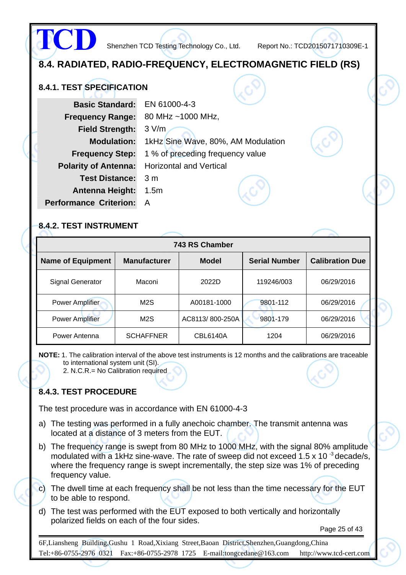**8.4. RADIATED, RADIO-FREQUENCY, ELECTROMAGNETIC FIELD (RS) 8.4.1. TEST SPECIFICATION Basic Standard:** EN 61000-4-3 **Frequency Range:** 80 MHz ~1000 MHz, **Field Strength:** 3 V/m **Modulation:** 1kHz Sine Wave, 80%, AM Modulation **Frequency Step:** 1 % of preceding frequency value **Polarity of Antenna:** Horizontal and Vertical **Test Distance:** 3 m **Antenna Height:** 1.5m **Performance Criterion:** A **TCD** Shenzhen TCD Testing Technology Co., Ltd. Report No.: TCD2015071710309E-1

#### **8.4.2. TEST INSTRUMENT**

| 743 RS Chamber           |                     |                 |                      |                        |  |  |
|--------------------------|---------------------|-----------------|----------------------|------------------------|--|--|
| <b>Name of Equipment</b> | <b>Manufacturer</b> | <b>Model</b>    | <b>Serial Number</b> | <b>Calibration Due</b> |  |  |
| Signal Generator         | Maconi              | 2022D           | 119246/003           | 06/29/2016             |  |  |
| <b>Power Amplifier</b>   | M <sub>2</sub> S    | A00181-1000     | 9801-112             | 06/29/2016             |  |  |
| <b>Power Amplifier</b>   | M <sub>2</sub> S    | AC8113/800-250A | 9801-179             | 06/29/2016             |  |  |
| Power Antenna            | <b>SCHAFFNER</b>    | <b>CBL6140A</b> | 1204                 | 06/29/2016             |  |  |

**NOTE:** 1. The calibration interval of the above test instruments is 12 months and the calibrations are traceable to international system unit (SI).

2. N.C.R.= No Calibration required

#### **8.4.3. TEST PROCEDURE**

The test procedure was in accordance with EN 61000-4-3

- a) The testing was performed in a fully anechoic chamber. The transmit antenna was located at a distance of 3 meters from the EUT.
- b) The frequency range is swept from 80 MHz to 1000 MHz, with the signal 80% amplitude modulated with a 1kHz sine-wave. The rate of sweep did not exceed 1.5 x 10  $3$  decade/s, where the frequency range is swept incrementally, the step size was 1% of preceding frequency value.
- c) The dwell time at each frequency shall be not less than the time necessary for the EUT to be able to respond.
- d) The test was performed with the EUT exposed to both vertically and horizontally polarized fields on each of the four sides.

Page 25 of 43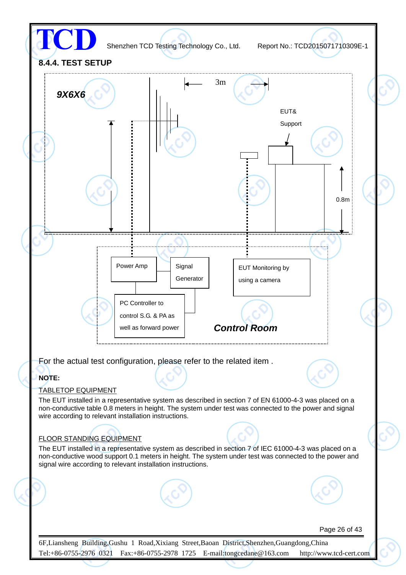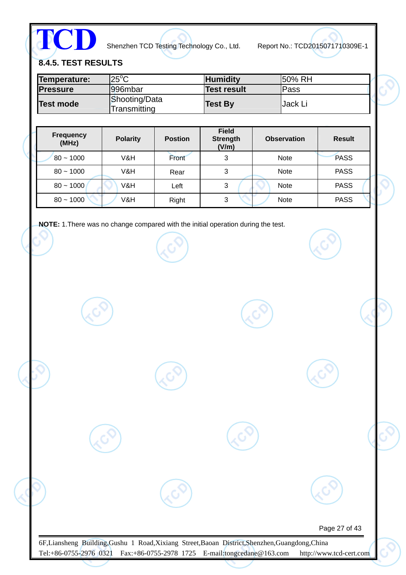**TCD**

Shenzhen TCD Testing Technology Co., Ltd. Report No.: TCD2015071710309E-1

**8.4.5. TEST RESULTS** 

| Temperature:     | $"25^{\circ}$ C               | <b>Humidity</b>    | 150% RH |
|------------------|-------------------------------|--------------------|---------|
| <b>IPressure</b> | 1996mbar                      | <b>Test result</b> | Pass    |
| <b>Test mode</b> | Shooting/Data<br>Transmitting | <b>Test By</b>     | Jack Li |

| <b>Frequency</b><br>(MHz) | <b>Polarity</b> | <b>Postion</b> | <b>Field</b><br><b>Strength</b><br>(V/m) | <b>Observation</b> | <b>Result</b> |
|---------------------------|-----------------|----------------|------------------------------------------|--------------------|---------------|
| $80 - 1000$               | V&H             | Front          | 3                                        | <b>Note</b>        | <b>PASS</b>   |
| $80 - 1000$               | V&H             | Rear           | 3                                        | <b>Note</b>        | <b>PASS</b>   |
| $80 - 1000$               | V&H             | Left           | 3                                        | <b>Note</b>        | <b>PASS</b>   |
| $80 - 1000$               | V&H             | Right          | 3                                        | <b>Note</b>        | <b>PASS</b>   |

**NOTE:** 1.There was no change compared with the initial operation during the test.

| Page 27 of 43 |
|---------------|
|               |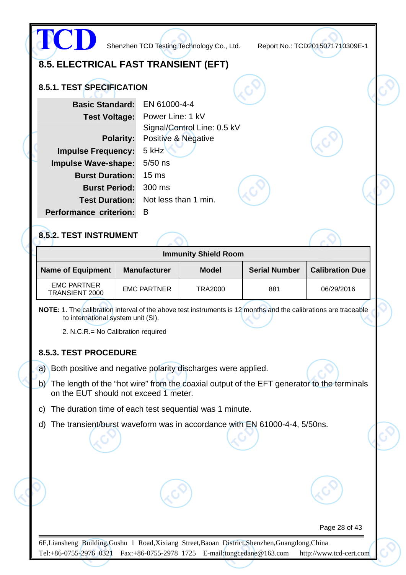|                                      | Shenzhen TCD Testing Technology Co., Ltd.       | Report No.: TCD2015071710309E-1 |  |
|--------------------------------------|-------------------------------------------------|---------------------------------|--|
| 8.5. ELECTRICAL FAST TRANSIENT (EFT) |                                                 |                                 |  |
| 8.5.1. TEST SPECIFICATION            |                                                 |                                 |  |
| <b>Basic Standard:</b>               | EN 61000-4-4                                    |                                 |  |
| <b>Test Voltage:</b>                 | Power Line: 1 kV<br>Signal/Control Line: 0.5 kV |                                 |  |
| <b>Polarity:</b>                     | Positive & Negative                             |                                 |  |
| <b>Impulse Frequency:</b>            | 5 kHz                                           |                                 |  |
| <b>Impulse Wave-shape:</b>           | $5/50$ ns                                       |                                 |  |
| <b>Burst Duration:</b>               | 15 <sub>ms</sub>                                |                                 |  |
| <b>Burst Period:</b>                 | 300 ms                                          |                                 |  |
| <b>Test Duration:</b>                | Not less than 1 min.                            |                                 |  |
| <b>Performance criterion:</b>        | B                                               |                                 |  |
| 8.5.2. TEST INSTRUMENT               |                                                 |                                 |  |
|                                      | <b>Immunity Shield Room</b>                     |                                 |  |

| <b>Name of Equipment</b>             | <b>Manufacturer</b> | <b>Model</b> | <b>Serial Number</b> | <b>Calibration Due</b> |
|--------------------------------------|---------------------|--------------|----------------------|------------------------|
| <b>EMC PARTNER</b><br>TRANSIENT 2000 | <b>EMC PARTNER</b>  | TRA2000      | 881                  | 06/29/2016             |

**NOTE:** 1. The calibration interval of the above test instruments is 12 months and the calibrations are traceable to international system unit (SI).

2. N.C.R.= No Calibration required

#### **8.5.3. TEST PROCEDURE**

a) Both positive and negative polarity discharges were applied.

- b) The length of the "hot wire" from the coaxial output of the EFT generator to the terminals on the EUT should not exceed 1 meter.
- c) The duration time of each test sequential was 1 minute.
- d) The transient/burst waveform was in accordance with EN 61000-4-4, 5/50ns.

Page 28 of 43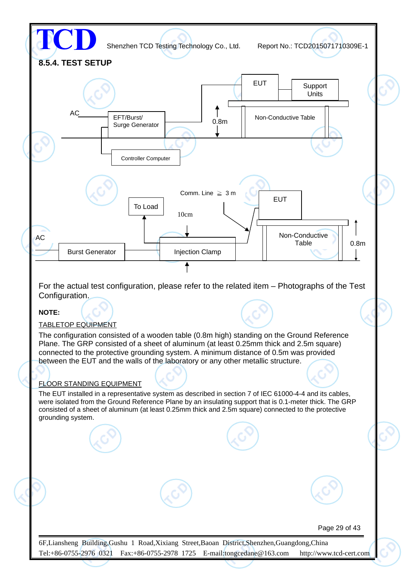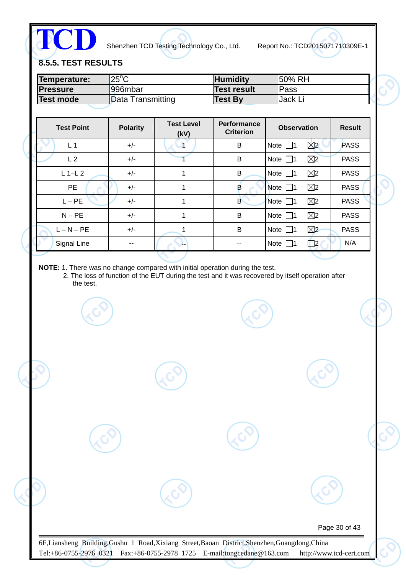**TCD**

Shenzhen TCD Testing Technology Co., Ltd. Report No.: TCD2015071710309E-1

**8.5.5. TEST RESULTS** 

| Temperature:     | $25^{\circ}$ C    | <b>Humidity</b> | 150% RH         |
|------------------|-------------------|-----------------|-----------------|
| <b>Pressure</b>  | 996mbar           | Test result     | <b>Pass</b>     |
| <b>Test mode</b> | Data Transmitting | <b>Test By</b>  | <b>IJack Li</b> |

| <b>Test Point</b> | <b>Polarity</b> | <b>Test Level</b><br>(kV) | Performance<br><b>Criterion</b> | <b>Observation</b>           | <b>Result</b> |
|-------------------|-----------------|---------------------------|---------------------------------|------------------------------|---------------|
| L <sub>1</sub>    | $+/-$           | 1                         | B                               | $\boxtimes$<br>Note $\Box$ 1 | <b>PASS</b>   |
| L <sub>2</sub>    | $+/-$           |                           | B                               | $\boxtimes$<br>Note $\Box$ 1 | <b>PASS</b>   |
| $L$ 1-L 2         | $+/-$           | 1                         | В                               | $\boxtimes$<br>Note $\Box$ 1 | <b>PASS</b>   |
| <b>PE</b>         | $+/-$           | 1                         | в                               | $\boxtimes$<br>Note $\Box$ 1 | <b>PASS</b>   |
| $L - PE$          | $+/-$           | 1                         | B                               | $\boxtimes$<br>Note $\Box$ 1 | <b>PASS</b>   |
| $N - PE$          | $+/-$           | 1                         | B                               | $\boxtimes$<br>Note $\Box$ 1 | <b>PASS</b>   |
| $L - N - PE$      | $+/-$           |                           | B                               | $\boxtimes$<br>Note $\Box$ 1 | <b>PASS</b>   |
| Signal Line       | --              | --                        |                                 | $\Box$ 2<br>Note $\Box$ 1    | N/A           |

**NOTE:** 1. There was no change compared with initial operation during the test.

2. The loss of function of the EUT during the test and it was recovered by itself operation after the test.

Page 30 of 43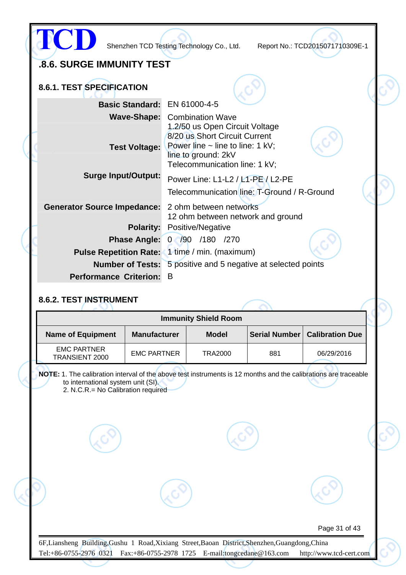|                                                                      |                                                                                  | Shenzhen TCD Testing Technology Co., Ltd.                                                                                       |  | Report No.: TCD2015071710309E-1 |  |
|----------------------------------------------------------------------|----------------------------------------------------------------------------------|---------------------------------------------------------------------------------------------------------------------------------|--|---------------------------------|--|
| .8.6. SURGE IMMUNITY TEST                                            |                                                                                  |                                                                                                                                 |  |                                 |  |
| 8.6.1. TEST SPECIFICATION                                            |                                                                                  |                                                                                                                                 |  |                                 |  |
| Basic Standard: EN 61000-4-5                                         |                                                                                  |                                                                                                                                 |  |                                 |  |
| <b>Wave-Shape:</b> Combination Wave<br><b>Test Voltage:</b>          |                                                                                  | 1.2/50 us Open Circuit Voltage<br>8/20 us Short Circuit Current<br>Power line $\sim$ line to line: 1 kV;<br>line to ground: 2kV |  |                                 |  |
|                                                                      |                                                                                  | Telecommunication line: 1 kV;                                                                                                   |  |                                 |  |
| <b>Surge Input/Output:</b>                                           | Power Line: L1-L2 / L1-PE / L2-PE<br>Telecommunication line: T-Ground / R-Ground |                                                                                                                                 |  |                                 |  |
| <b>Generator Source Impedance:</b>                                   | 2 ohm between networks<br>12 ohm between network and ground                      |                                                                                                                                 |  |                                 |  |
| <b>Polarity:</b>                                                     |                                                                                  | Positive/Negative                                                                                                               |  |                                 |  |
|                                                                      |                                                                                  | Phase Angle: 0 /90 /180 /270                                                                                                    |  |                                 |  |
| <b>Pulse Repetition Rate:</b> 1 time / min. (maximum)                |                                                                                  |                                                                                                                                 |  |                                 |  |
| <b>Number of Tests:</b> 5 positive and 5 negative at selected points |                                                                                  |                                                                                                                                 |  |                                 |  |
| <b>Performance Criterion:</b>                                        | B                                                                                |                                                                                                                                 |  |                                 |  |
| 8.6.2. TEST INSTRUMENT                                               |                                                                                  |                                                                                                                                 |  |                                 |  |
|                                                                      |                                                                                  | <b>Immunity Shield Room</b>                                                                                                     |  |                                 |  |
| <b>Name of Equipment</b><br><b>Manufacturer</b>                      |                                                                                  | <b>Model</b>                                                                                                                    |  | Serial Number   Calibration Due |  |

EMC PARTNER TRANSIENT 2000 **NOTE:** 1. The calibration interval of the above test instruments is 12 months and the calibrations are traceable EMC PARTNER | TRA2000 | 881 | 06/29/2016

to international system unit (SI). 2. N.C.R.= No Calibration required

Page 31 of 43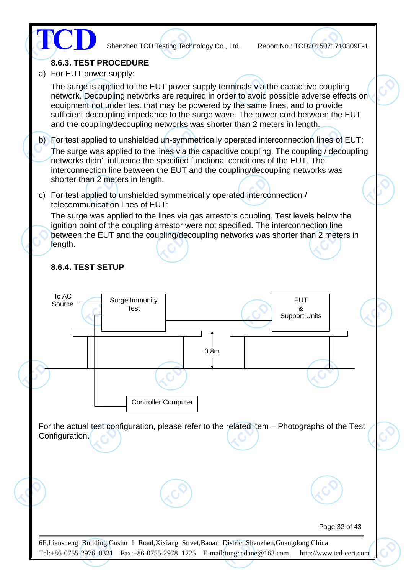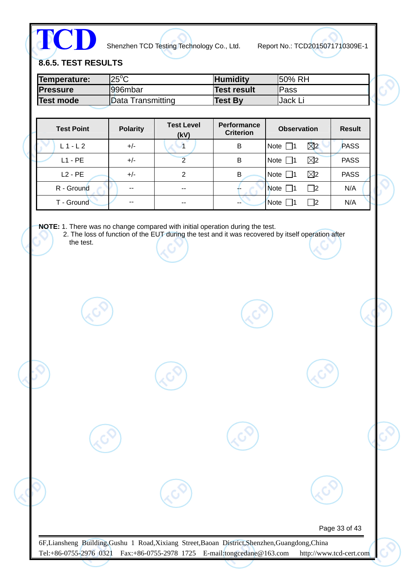**TCD**

Shenzhen TCD Testing Technology Co., Ltd. Report No.: TCD2015071710309E-1

**8.6.5. TEST RESULTS** 

| Temperature:     | $25^{\circ}$ C    | <b>Humidity</b> | 150% RH  |
|------------------|-------------------|-----------------|----------|
| <b>Pressure</b>  | l996mbar          | Test result     | lPass    |
| <b>Test mode</b> | Data Transmitting | <b>Test By</b>  | IJack Li |

| <b>Test Point</b> | <b>Polarity</b> | <b>Test Level</b><br>(kV) | <b>Performance</b><br><b>Criterion</b> | <b>Observation</b>           | <b>Result</b> |
|-------------------|-----------------|---------------------------|----------------------------------------|------------------------------|---------------|
| $L1-L2$           | $+/-$           |                           | B                                      | $\boxtimes$<br>Note $\Box$ 1 | PASS          |
| $L1 - PE$         | $+/-$           |                           | B                                      | $\boxtimes$<br>Note $\Box$ 1 | <b>PASS</b>   |
| $L2 - PE$         | $+/-$           | 2                         | в                                      | $\boxtimes$<br>Note $\Box$ 1 | <b>PASS</b>   |
| R - Ground        | --              | $-$                       |                                        | Note $\Box$ 1<br>$\Box$ 2    | N/A           |
| T - Ground        | --              | --                        | $-$                                    | <b>Note</b><br> 2            | N/A           |

**NOTE:** 1. There was no change compared with initial operation during the test.

2. The loss of function of the EUT during the test and it was recovered by itself operation after the test.

Page 33 of 43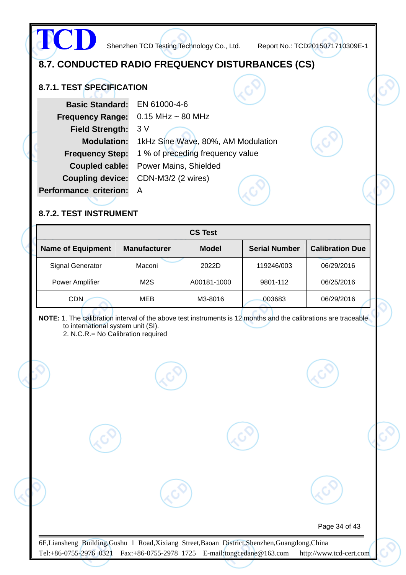## **8.7. CONDUCTED RADIO FREQUENCY DISTURBANCES (CS)**

#### **8.7.1. TEST SPECIFICATION**

**TCD**

| <b>Basic Standard:</b>        | EN 61000-4-6                       |  |  |
|-------------------------------|------------------------------------|--|--|
| <b>Frequency Range:</b>       | $0.15$ MHz $\sim$ 80 MHz           |  |  |
| <b>Field Strength:</b>        | 3V                                 |  |  |
| <b>Modulation:</b>            | 1kHz Sine Wave, 80%, AM Modulation |  |  |
| <b>Frequency Step:</b>        | 1 % of preceding frequency value   |  |  |
| Coupled cable:                | <b>Power Mains, Shielded</b>       |  |  |
| <b>Coupling device:</b>       | CDN-M3/2 (2 wires)                 |  |  |
| <b>Performance criterion:</b> | A                                  |  |  |
|                               |                                    |  |  |

#### **8.7.2. TEST INSTRUMENT**

| <b>CS Test</b>           |                     |              |                      |                        |  |  |  |
|--------------------------|---------------------|--------------|----------------------|------------------------|--|--|--|
| <b>Name of Equipment</b> | <b>Manufacturer</b> | <b>Model</b> | <b>Serial Number</b> | <b>Calibration Due</b> |  |  |  |
| <b>Signal Generator</b>  | Maconi              | 2022D        | 119246/003           | 06/29/2016             |  |  |  |
| <b>Power Amplifier</b>   | M2S                 | A00181-1000  | 9801-112             | 06/25/2016             |  |  |  |
| <b>CDN</b>               | <b>MEB</b>          | M3-8016      | 003683               | 06/29/2016             |  |  |  |

**NOTE:** 1. The calibration interval of the above test instruments is 12 months and the calibrations are traceable to international system unit (SI).

2. N.C.R.= No Calibration required

Page 34 of 43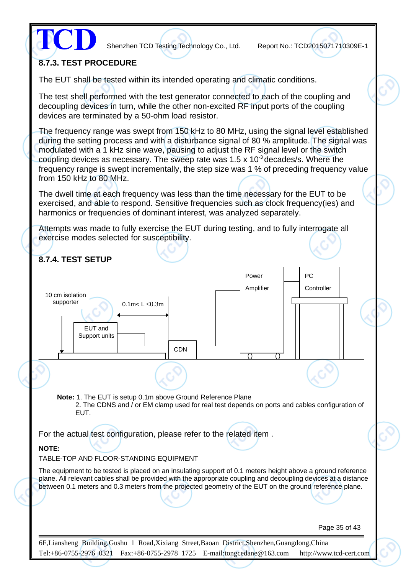

#### **8.7.3. TEST PROCEDURE**

The EUT shall be tested within its intended operating and climatic conditions.

The test shell performed with the test generator connected to each of the coupling and decoupling devices in turn, while the other non-excited RF input ports of the coupling devices are terminated by a 50-ohm load resistor.

The frequency range was swept from 150 kHz to 80 MHz, using the signal level established during the setting process and with a disturbance signal of 80 % amplitude. The signal was modulated with a 1 kHz sine wave, pausing to adjust the RF signal level or the switch coupling devices as necessary. The sweep rate was  $1.5 \times 10^{-3}$  decades/s. Where the frequency range is swept incrementally, the step size was 1 % of preceding frequency value from 150 kHz to 80 MHz.

The dwell time at each frequency was less than the time necessary for the EUT to be exercised, and able to respond. Sensitive frequencies such as clock frequency(ies) and harmonics or frequencies of dominant interest, was analyzed separately.

Attempts was made to fully exercise the EUT during testing, and to fully interrogate all exercise modes selected for susceptibility.

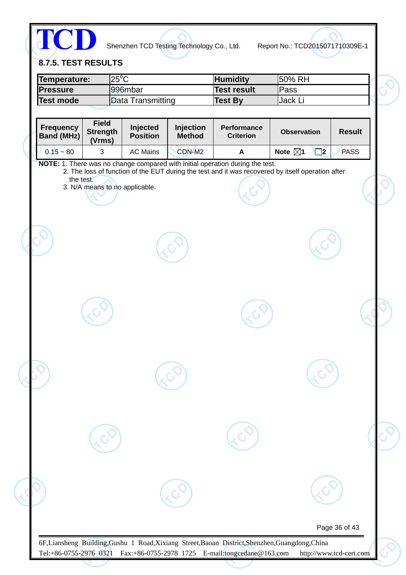

**8.7.5. TEST RESULTS** 

| Temperature:     | $25^{\circ}$ C    | <b>Humidity</b>    | 150% RH         |  |
|------------------|-------------------|--------------------|-----------------|--|
| <b>IPressure</b> | l996mbar          | <b>Test result</b> | Pass            |  |
| Test mode        | Data Transmitting | <b>Test By</b>     | <b>IJack L.</b> |  |
|                  |                   |                    |                 |  |

| <b>Frequency</b><br><b>Band (MHz)</b> | <b>Field</b><br><b>Strength</b><br>(Vrms) | Injected<br><b>Position</b> | Injection<br><b>Method</b> | <b>Performance</b><br><b>Criterion</b>                                                                                                                                             | <b>Observation</b> |          | <b>Result</b> |  |
|---------------------------------------|-------------------------------------------|-----------------------------|----------------------------|------------------------------------------------------------------------------------------------------------------------------------------------------------------------------------|--------------------|----------|---------------|--|
| $0.15 - 80$                           | 3                                         | <b>AC Mains</b>             | CDN-M2                     | A                                                                                                                                                                                  | Note $\boxtimes$ 1 | $\Box$ 2 | <b>PASS</b>   |  |
| the test.                             | 3. N/A means to no applicable.            |                             |                            | NOTE: 1. There was no change compared with initial operation during the test.<br>2. The loss of function of the EUT during the test and it was recovered by itself operation after |                    |          |               |  |
|                                       |                                           |                             |                            |                                                                                                                                                                                    |                    |          |               |  |
|                                       |                                           |                             |                            |                                                                                                                                                                                    |                    |          |               |  |
|                                       |                                           |                             |                            |                                                                                                                                                                                    |                    |          |               |  |
|                                       |                                           |                             |                            |                                                                                                                                                                                    |                    |          |               |  |
|                                       |                                           |                             |                            |                                                                                                                                                                                    |                    |          |               |  |
|                                       |                                           |                             |                            |                                                                                                                                                                                    |                    |          | Page 36 of 43 |  |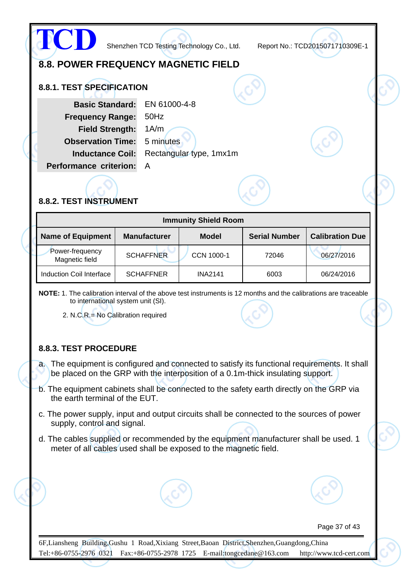

#### **8.8.2. TEST INSTRUMENT**

| <b>Immunity Shield Room</b>       |                     |                |                      |                        |  |  |  |
|-----------------------------------|---------------------|----------------|----------------------|------------------------|--|--|--|
| <b>Name of Equipment</b>          | <b>Manufacturer</b> | <b>Model</b>   | <b>Serial Number</b> | <b>Calibration Due</b> |  |  |  |
| Power-frequency<br>Magnetic field | <b>SCHAFFNER</b>    | CCN 1000-1     | 72046                | 06/27/2016             |  |  |  |
| Induction Coil Interface          | <b>SCHAFFNER</b>    | <b>INA2141</b> | 6003                 | 06/24/2016             |  |  |  |

**NOTE:** 1. The calibration interval of the above test instruments is 12 months and the calibrations are traceable to international system unit (SI).

2. N.C.R.= No Calibration required

#### **8.8.3. TEST PROCEDURE**

a. The equipment is configured and connected to satisfy its functional requirements. It shall be placed on the GRP with the interposition of a 0.1m-thick insulating support.

- b. The equipment cabinets shall be connected to the safety earth directly on the GRP via the earth terminal of the EUT.
- c. The power supply, input and output circuits shall be connected to the sources of power supply, control and signal.
- d. The cables supplied or recommended by the equipment manufacturer shall be used. 1 meter of all cables used shall be exposed to the magnetic field.

Page 37 of 43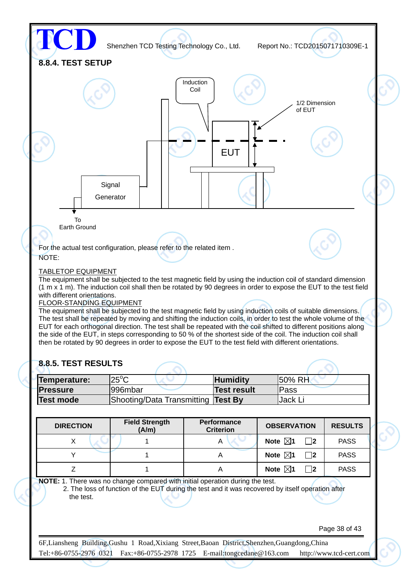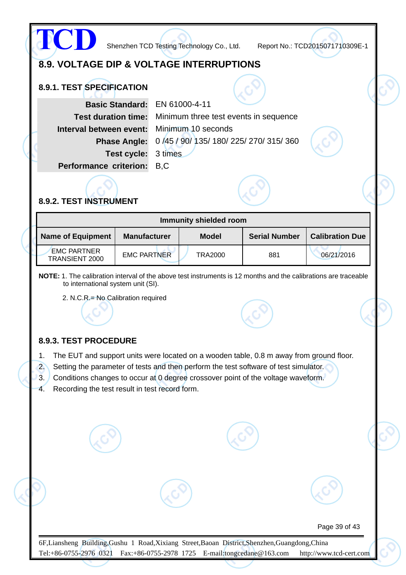

#### **8.9.3. TEST PROCEDURE**

- 1. The EUT and support units were located on a wooden table, 0.8 m away from ground floor.
- 2. Setting the parameter of tests and then perform the test software of test simulator.
- 3. Conditions changes to occur at 0 degree crossover point of the voltage waveform.
- 4. Recording the test result in test record form.

Page 39 of 43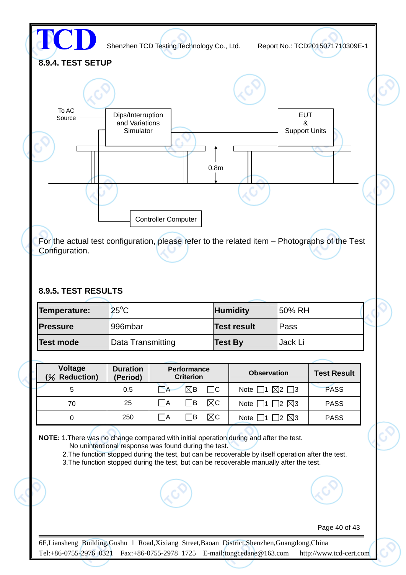

For the actual test configuration, please refer to the related item – Photographs of the Test Configuration.

#### **8.9.5. TEST RESULTS**

| Temperature:     | $ 25^{\circ}$ C   | <b>Humidity</b>    | <b>50% RH</b> |  |
|------------------|-------------------|--------------------|---------------|--|
| <b>Pressure</b>  | 1996mbar          | <b>Test result</b> | lPass         |  |
| <b>Test mode</b> | Data Transmitting | <b>Test By</b>     | Jack Li       |  |

| Voltage<br><b>Reduction)</b><br>$\%$ | <b>Duration</b><br>(Period) | <b>Performance</b><br><b>Criterion</b> | <b>Observation</b>                      | <b>Test Result</b> |
|--------------------------------------|-----------------------------|----------------------------------------|-----------------------------------------|--------------------|
| 5                                    | 0.5                         | $\nabla$ B<br>⊟C<br>$\rightarrow$      | $\boxtimes$ 2 $\Box$ 3<br>Note $\Box$ 1 | <b>PASS</b>        |
| 70                                   | 25                          | $\boxtimes$ c<br> B <br>-lA            | $\boxtimes$ 3<br>Note $\Box$ 1 $\Box$ 2 | <b>PASS</b>        |
|                                      | 250                         | ⊠c<br>1B<br>ΙA                         | $\boxtimes$ 3<br>12<br>Note $\Box$      | <b>PASS</b>        |

**NOTE:** 1.There was no change compared with initial operation during and after the test.

No unintentional response was found during the test.

2. The function stopped during the test, but can be recoverable by itself operation after the test.

3.The function stopped during the test, but can be recoverable manually after the test.



Page 40 of 43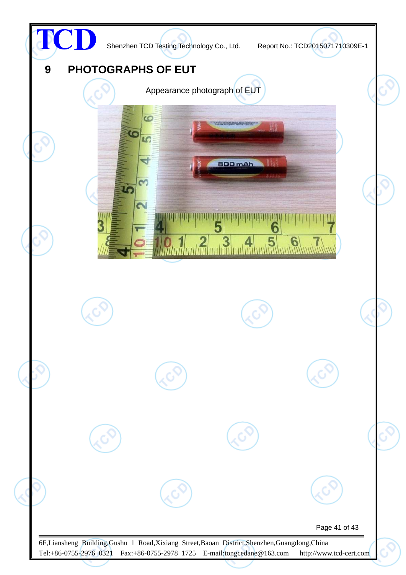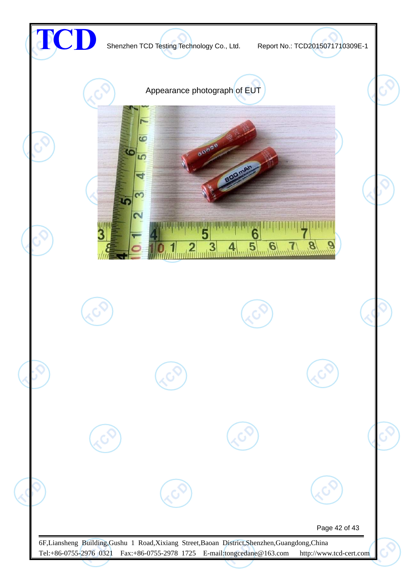